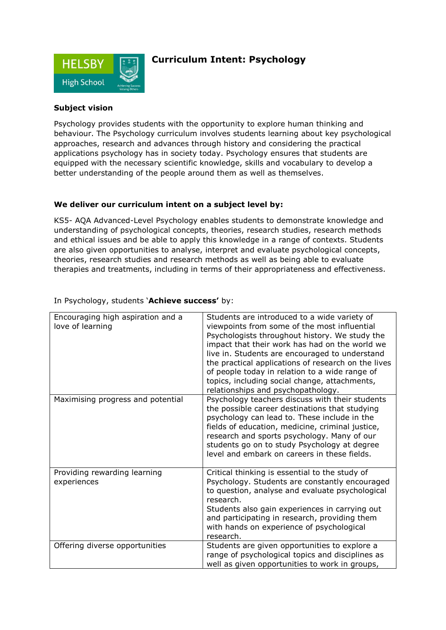

## **Curriculum Intent: Psychology**

### **Subject vision**

Psychology provides students with the opportunity to explore human thinking and behaviour. The Psychology curriculum involves students learning about key psychological approaches, research and advances through history and considering the practical applications psychology has in society today. Psychology ensures that students are equipped with the necessary scientific knowledge, skills and vocabulary to develop a better understanding of the people around them as well as themselves.

#### **We deliver our curriculum intent on a subject level by:**

KS5- AQA Advanced-Level Psychology enables students to demonstrate knowledge and understanding of psychological concepts, theories, research studies, research methods and ethical issues and be able to apply this knowledge in a range of contexts. Students are also given opportunities to analyse, interpret and evaluate psychological concepts, theories, research studies and research methods as well as being able to evaluate therapies and treatments, including in terms of their appropriateness and effectiveness.

| Encouraging high aspiration and a<br>love of learning | Students are introduced to a wide variety of<br>viewpoints from some of the most influential<br>Psychologists throughout history. We study the<br>impact that their work has had on the world we<br>live in. Students are encouraged to understand<br>the practical applications of research on the lives<br>of people today in relation to a wide range of<br>topics, including social change, attachments,<br>relationships and psychopathology. |
|-------------------------------------------------------|----------------------------------------------------------------------------------------------------------------------------------------------------------------------------------------------------------------------------------------------------------------------------------------------------------------------------------------------------------------------------------------------------------------------------------------------------|
| Maximising progress and potential                     | Psychology teachers discuss with their students<br>the possible career destinations that studying<br>psychology can lead to. These include in the<br>fields of education, medicine, criminal justice,<br>research and sports psychology. Many of our<br>students go on to study Psychology at degree<br>level and embark on careers in these fields.                                                                                               |
| Providing rewarding learning<br>experiences           | Critical thinking is essential to the study of<br>Psychology. Students are constantly encouraged<br>to question, analyse and evaluate psychological<br>research.<br>Students also gain experiences in carrying out<br>and participating in research, providing them<br>with hands on experience of psychological<br>research.                                                                                                                      |
| Offering diverse opportunities                        | Students are given opportunities to explore a<br>range of psychological topics and disciplines as<br>well as given opportunities to work in groups,                                                                                                                                                                                                                                                                                                |

#### In Psychology, students '**Achieve success'** by: